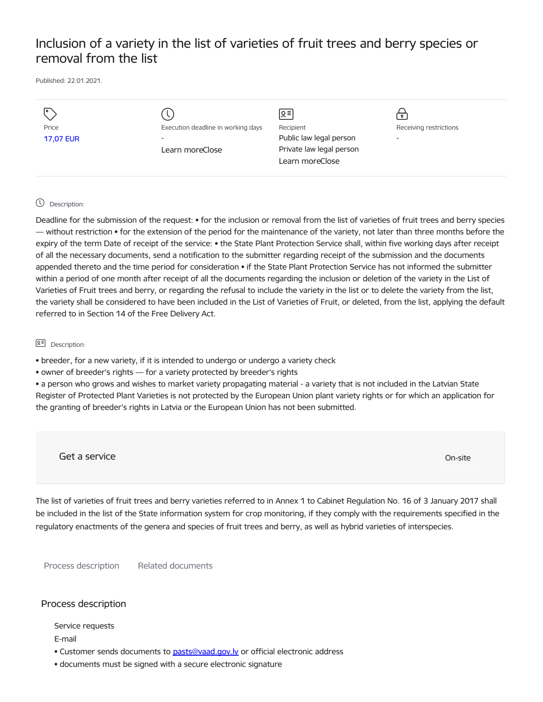# Inclusion of a variety in the list of varieties of fruit trees and berry species or removal from the list

Published: 22.01.2021.

|                           |                                                                | $\leq$ =                                    |                                                    |
|---------------------------|----------------------------------------------------------------|---------------------------------------------|----------------------------------------------------|
| Price<br><b>17,07 EUR</b> | Execution deadline in working days<br>$\overline{\phantom{0}}$ | Recipient<br>Public law legal person        | Receiving restrictions<br>$\overline{\phantom{0}}$ |
|                           | Learn moreClose                                                | Private law legal person<br>Learn moreClose |                                                    |

#### Description:

Deadline for the submission of the request: • for the inclusion or removal from the list of varieties of fruit trees and berry species — without restriction • for the extension of the period for the maintenance of the variety, not later than three months before the expiry of the term Date of receipt of the service: • the State Plant Protection Service shall, within five working days after receipt of all the necessary documents, send a notification to the submitter regarding receipt of the submission and the documents appended thereto and the time period for consideration • if the State Plant Protection Service has not informed the submitter within a period of one month after receipt of all the documents regarding the inclusion or deletion of the variety in the List of Varieties of Fruit trees and berry, or regarding the refusal to include the variety in the list or to delete the variety from the list, the variety shall be considered to have been included in the List of Varieties of Fruit, or deleted, from the list, applying the default referred to in Section 14 of the Free Delivery Act.

**B<sub>E</sub>** Description:

• breeder, for a new variety, if it is intended to undergo or undergo a variety check

• owner of breeder's rights — for a variety protected by breeder's rights

• a person who grows and wishes to market variety propagating material - a variety that is not included in the Latvian State Register of Protected Plant Varieties is not protected by the European Union plant variety rights or for which an application for the granting of breeder's rights in Latvia or the European Union has not been submitted.

Get a service On-site

The list of varieties of fruit trees and berry varieties referred to in Annex 1 to Cabinet Regulation No. 16 of 3 January 2017 shall be included in the list of the State information system for crop monitoring, if they comply with the requirements specified in the regulatory enactments of the genera and species of fruit trees and berry, as well as hybrid varieties of interspecies.

Process description Related documents

### Process description

Service requests

E-mail

- Customer sends documents to pasts@vaad.gov.ly or official electronic address
- documents must be signed with a secure electronic signature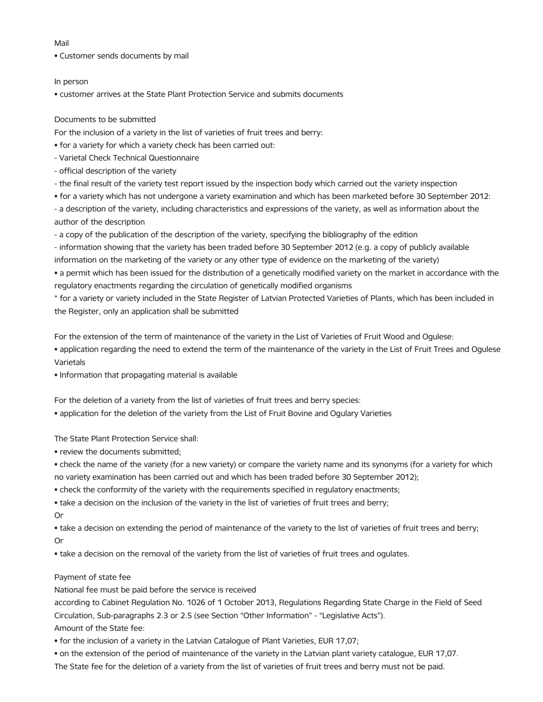#### Mail

• Customer sends documents by mail

#### In person

• customer arrives at the State Plant Protection Service and submits documents

## Documents to be submitted

For the inclusion of a variety in the list of varieties of fruit trees and berry:

- for a variety for which a variety check has been carried out:
- Varietal Check Technical Questionnaire
- official description of the variety
- the final result of the variety test report issued by the inspection body which carried out the variety inspection
- for a variety which has not undergone a variety examination and which has been marketed before 30 September 2012:

- a description of the variety, including characteristics and expressions of the variety, as well as information about the author of the description

- a copy of the publication of the description of the variety, specifying the bibliography of the edition

- information showing that the variety has been traded before 30 September 2012 (e.g. a copy of publicly available information on the marketing of the variety or any other type of evidence on the marketing of the variety)

• a permit which has been issued for the distribution of a genetically modified variety on the market in accordance with the regulatory enactments regarding the circulation of genetically modified organisms

\* for a variety or variety included in the State Register of Latvian Protected Varieties of Plants, which has been included in the Register, only an application shall be submitted

For the extension of the term of maintenance of the variety in the List of Varieties of Fruit Wood and Ogulese: • application regarding the need to extend the term of the maintenance of the variety in the List of Fruit Trees and Ogulese Varietals

• Information that propagating material is available

For the deletion of a variety from the list of varieties of fruit trees and berry species:

• application for the deletion of the variety from the List of Fruit Bovine and Ogulary Varieties

The State Plant Protection Service shall:

• review the documents submitted;

• check the name of the variety (for a new variety) or compare the variety name and its synonyms (for a variety for which no variety examination has been carried out and which has been traded before 30 September 2012);

• check the conformity of the variety with the requirements specified in regulatory enactments;

• take a decision on the inclusion of the variety in the list of varieties of fruit trees and berry;

Or

• take a decision on extending the period of maintenance of the variety to the list of varieties of fruit trees and berry; Or

• take a decision on the removal of the variety from the list of varieties of fruit trees and ogulates.

# Payment of state fee

National fee must be paid before the service is received

according to Cabinet Regulation No. 1026 of 1 October 2013, Regulations Regarding State Charge in the Field of Seed Circulation, Sub-paragraphs 2.3 or 2.5 (see Section "Other Information" - "Legislative Acts").

Amount of the State fee:

• for the inclusion of a variety in the Latvian Catalogue of Plant Varieties, EUR 17,07;

• on the extension of the period of maintenance of the variety in the Latvian plant variety catalogue, EUR 17,07.

The State fee for the deletion of a variety from the list of varieties of fruit trees and berry must not be paid.